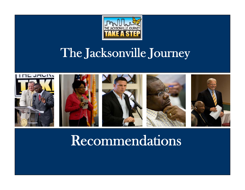

### The Jacksonville Journey



### Recommendations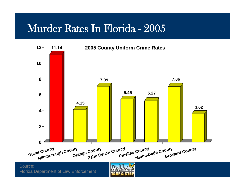#### Murder Rates In Florida - 2005



Source: Florida Department of Law Enforcement

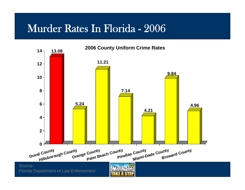#### Murder Rates In Florida - 2006

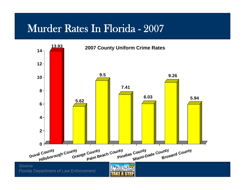#### Murder Rates In Florida - 2007

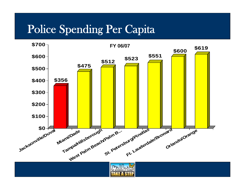#### Police Spending Per Capita

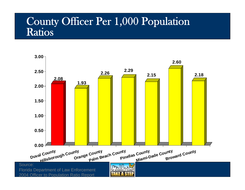#### County Officer Per 1,000 Population Ratios

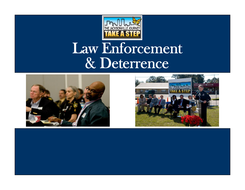

## Law Enforcement & Deterrence



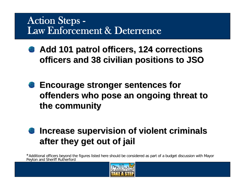#### Action Steps - Law Enforcement & Deterrence

- Add 101 patrol officers, 124 corrections **officers and 38 civilian positions to JSO officers and 38 civilian positions to JSO**
- **Encourage stronger sentences for Encourage stronger sentences for offenders who pose an ongoing threat to offenders who pose an ongoing threat to the community the community**

#### Increase supervision of violent criminals **after they get out of jail after they get out of jail**

\*Additional officers beyond the figures listed here should be considered as part of a budget discussion with Mayor Peyton and Sheriff Rutherford

![](_page_7_Picture_5.jpeg)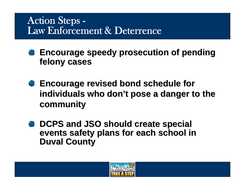#### Action Steps - Law Enforcement & Deterrence

- **Encourage speedy prosecution of pending Encourage speedy prosecution of pending felony cases felony cases**
- **Encourage revised bond schedule for Encourage revised bond schedule for**  individuals who don't pose a danger to the **community community**
- **DCPS and JSO should create special DCPS and JSO should create special**  events safety plans for each school in **Duval County Duval County**

![](_page_8_Picture_4.jpeg)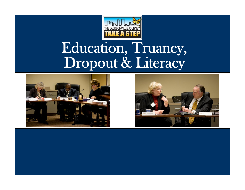![](_page_9_Picture_0.jpeg)

# Education, Truancy, Dropout & Literacy

![](_page_9_Picture_2.jpeg)

![](_page_9_Picture_3.jpeg)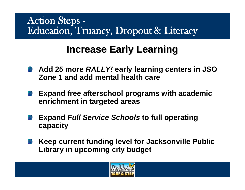#### **Increase Early Learning Increase Early Learning**

- **Add 25 more** *RALLY!* **early learning centers in JSO Zone 1 and add mental health care**
- **Expand free afterschool programs with academic enrichment in targeted areas**
- **Expand** *Full Service Schools* **to full operating capacity**
- **Keep current funding level for Jacksonville Public Library in upcoming city budget**

![](_page_10_Picture_6.jpeg)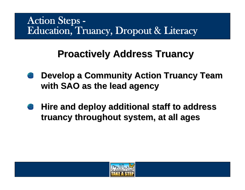#### **Proactively Address Truancy Proactively Address Truancy**

- **Develop a Community Action Truancy Team with SAO as the lead agency with SAO as the lead agency**
- **Hire and deploy additional staff to address Hire and deploy additional staff to address truancy throughout system, at all ages truancy throughout system, at all ages**

![](_page_11_Picture_4.jpeg)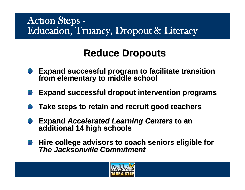#### **Reduce Dropouts Reduce Dropouts**

- Expand successful program to facilitate transition from elementary to middle school
- **Expand successful dropout intervention programs Expand successful dropout intervention programs**
- **Take steps to retain and recruit good teachers Take steps to retain and recruit good teachers**
- **Expand** *Accelerated Learning Centers* **to an additional 14 high schools**
- **Hire college advisors to coach seniors eligible for Hire college advisors to coach seniors eligible for** *The Jacksonville Commitment The Jacksonville Commitment*

![](_page_12_Picture_7.jpeg)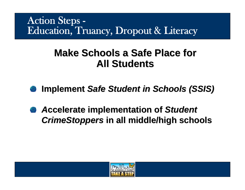#### **Make Schools a Safe Place for All Students All Students**

- **Implement Safe Student in Schools (SSIS)**
- *A***ccelerate implementation of ccelerate implementation of** *Student Student CrimeStoppers CrimeStoppers* **in all middle/high schools in all middle/high schools**

![](_page_13_Picture_4.jpeg)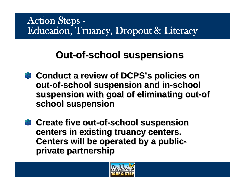#### **Out-of-school suspensions**

- **Conduct a review of Conduct a review of DCPS's policies on policies on out-of-school suspension and in school suspension and in-school suspension with goal of eliminating out-of school suspension school suspension**
- **Create five out-of-school suspension centers in existing truancy centers. centers in existing truancy centers. Centers will be operated by a publicprivate partnership private partnership**

![](_page_14_Picture_4.jpeg)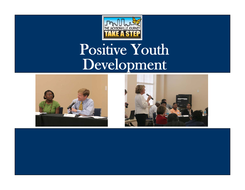![](_page_15_Picture_0.jpeg)

# Positive Youth Development

![](_page_15_Picture_2.jpeg)

![](_page_15_Picture_3.jpeg)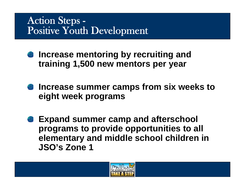#### Action Steps - Positive Youth Development

- **Increase mentoring by recruiting and training 1,500 new mentors per year**
- **Increase summer camps from six weeks to eight week programs**
- **Expand summer camp and afterschool programs to provide opportunities to all elementary and middle school children in JSO's Zone 1**

![](_page_16_Picture_4.jpeg)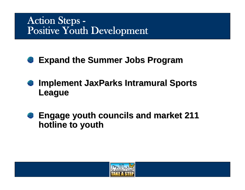#### Action Steps - Positive Youth Development

#### **Expand the Summer Jobs Program Expand the Summer Jobs Program**

- **Implement JaxParks Intramural Sports** -83 **League**
- **Engage youth councils and market 211 Engage youth councils and market 211**  -23 **hotline to youth hotline to youth**

![](_page_17_Picture_4.jpeg)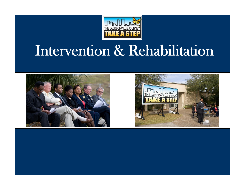![](_page_18_Picture_0.jpeg)

# Intervention & Rehabilitation

![](_page_18_Picture_2.jpeg)

![](_page_18_Picture_3.jpeg)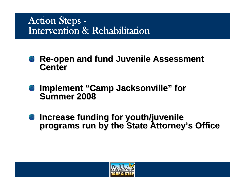#### Action Steps - Intervention & Rehabilitation

- **Re-open and fund Juvenile Assessment Center**
- **Implement "Camp Jacksonville" for Summer 2008**
- **Increase funding for youth/juvenile Increase funding for youth/juvenile programs run by the State Attorney programs run by the State Attorney's Office s Office**

![](_page_19_Picture_4.jpeg)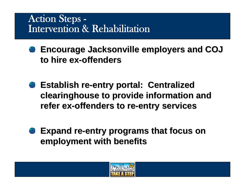#### Action Steps - Intervention & Rehabilitation

**Encourage Jacksonville employers and COJ Encourage Jacksonville employers and COJ to hire ex to hire ex-offenders offenders**

- **Establish re Establish re-entry portal: Centralized entry portal: Centralized clearinghouse to provide information and clearinghouse to provide information and refer ex refer ex-offenders to re offenders to re-entry services entry services**
- **Expand re-entry programs that focus on employment with benefits employment with benefits**

![](_page_20_Picture_4.jpeg)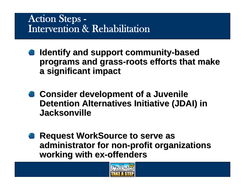#### Action Steps - Intervention & Rehabilitation

- **Identify and support community Identify and support community-based programs and grass programs and grass-roots efforts that make roots efforts that make a significant impact a significant impact**
- **Consider development of a Juvenile Consider development of a Juvenile Detention Alternatives Initiative (JDAI) in Jacksonville Jacksonville**
- **Request WorkSource to serve as administrator for non administrator for non-profit organizations profit organizations working with ex working with ex-offenders offenders**

![](_page_21_Picture_4.jpeg)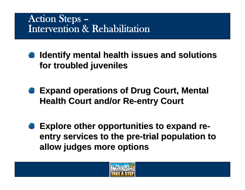#### Action Steps – Intervention & Rehabilitation

- **Identify mental health issues and solutions for troubled juveniles for troubled juveniles**
- **Expand operations of Drug Court, Mental Health Court and/or Re Health Court and/or Re-entry Court entry Court**
- **Explore other opportunities to expand reentry services to the pre-trial population to allow judges more options allow judges more options**

![](_page_22_Picture_4.jpeg)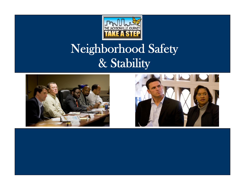![](_page_23_Picture_0.jpeg)

### Neighborhood Safety & Stability

![](_page_23_Picture_2.jpeg)

![](_page_23_Picture_3.jpeg)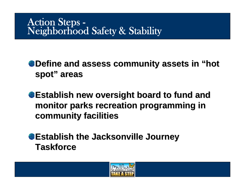# Action Steps -<br>Neighborhood Safety & Stability

**Define and assess community assets in "hot" spot" areas**

**Establish new oversight board to fund and Establish new oversight board to fund and monitor parks recreation programming in monitor parks recreation programming in community facilities community facilities**

**Establish the Jacksonville Journey Establish the Jacksonville Journey Taskforce Taskforce**

![](_page_24_Picture_4.jpeg)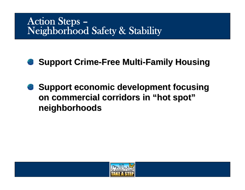#### Action Steps – Neighborhood Safety & Stability

#### **Support Crime-Free Multi-Family Housing**

**Support economic development focusing on commercial corridors in "hot spot" neighborhoods neighborhoods**

![](_page_25_Picture_3.jpeg)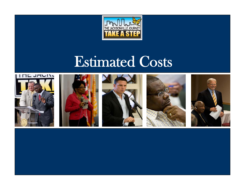![](_page_26_Picture_0.jpeg)

# Estimated Costs

![](_page_26_Picture_2.jpeg)